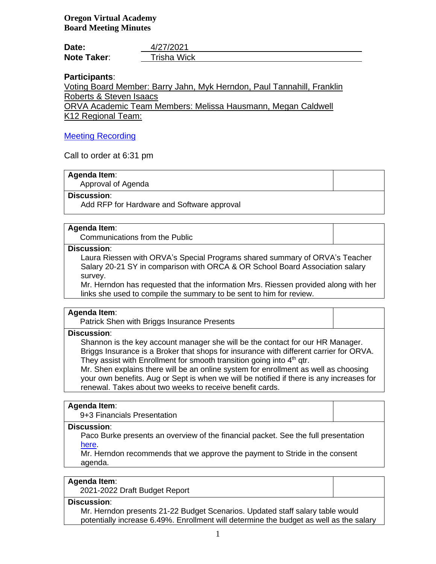| Date:              | 4/27/2021          |
|--------------------|--------------------|
| <b>Note Taker:</b> | <b>Trisha Wick</b> |

# **Participants**:

Voting Board Member: Barry Jahn, Myk Herndon, Paul Tannahill, Franklin Roberts & Steven Isaacs

ORVA Academic Team Members: Melissa Hausmann, Megan Caldwell K12 Regional Team:

# [Meeting Recording](https://k12inc-my.sharepoint.com/:v:/g/personal/mecaldwell_oregonva_org/ESV5WYCwRsZMkOyNEXPZY18BcNdCadcH9bmjPjEzIwf6Fg)

Call to order at 6:31 pm

# **Agenda Item**:

Approval of Agenda

#### **Discussion**:

Add RFP for Hardware and Software approval

# **Agenda Item**:

Communications from the Public

#### **Discussion**:

Laura Riessen with ORVA's Special Programs shared summary of ORVA's Teacher Salary 20-21 SY in comparison with ORCA & OR School Board Association salary survey.

Mr. Herndon has requested that the information Mrs. Riessen provided along with her links she used to compile the summary to be sent to him for review.

#### **Agenda Item**:

Patrick Shen with Briggs Insurance Presents

#### **Discussion**:

Shannon is the key account manager she will be the contact for our HR Manager. Briggs Insurance is a Broker that shops for insurance with different carrier for ORVA. They assist with Enrollment for smooth transition going into  $4<sup>th</sup>$  qtr.

Mr. Shen explains there will be an online system for enrollment as well as choosing your own benefits. Aug or Sept is when we will be notified if there is any increases for renewal. Takes about two weeks to receive benefit cards.

#### **Agenda Item**:

9+3 Financials Presentation

## **Discussion**:

Paco Burke presents an overview of the financial packet. See the full presentation [here.](https://k12inc-my.sharepoint.com/:p:/g/personal/mecaldwell_oregonva_org/EYrmTJYfK85KvmbfhjawhxkBzIgh-ccNpiWmipjJsKTWsw)

Mr. Herndon recommends that we approve the payment to Stride in the consent agenda.

#### **Agenda Item**:

2021-2022 Draft Budget Report

#### **Discussion**:

Mr. Herndon presents 21-22 Budget Scenarios. Updated staff salary table would potentially increase 6.49%. Enrollment will determine the budget as well as the salary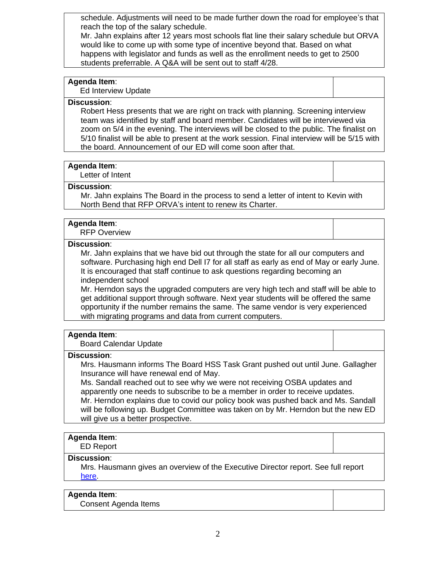schedule. Adjustments will need to be made further down the road for employee's that reach the top of the salary schedule.

Mr. Jahn explains after 12 years most schools flat line their salary schedule but ORVA would like to come up with some type of incentive beyond that. Based on what happens with legislator and funds as well as the enrollment needs to get to 2500 students preferrable. A Q&A will be sent out to staff 4/28.

## **Agenda Item**:

Ed Interview Update

### **Discussion**:

Robert Hess presents that we are right on track with planning. Screening interview team was identified by staff and board member. Candidates will be interviewed via zoom on 5/4 in the evening. The interviews will be closed to the public. The finalist on 5/10 finalist will be able to present at the work session. Final interview will be 5/15 with the board. Announcement of our ED will come soon after that.

## **Agenda Item**:

Letter of Intent

#### **Discussion**:

Mr. Jahn explains The Board in the process to send a letter of intent to Kevin with North Bend that RFP ORVA's intent to renew its Charter.

## **Agenda Item**:

RFP Overview

## **Discussion**:

Mr. Jahn explains that we have bid out through the state for all our computers and software. Purchasing high end Dell I7 for all staff as early as end of May or early June. It is encouraged that staff continue to ask questions regarding becoming an independent school

Mr. Herndon says the upgraded computers are very high tech and staff will be able to get additional support through software. Next year students will be offered the same opportunity if the number remains the same. The same vendor is very experienced with migrating programs and data from current computers.

#### **Agenda Item**:

Board Calendar Update

#### **Discussion**:

Mrs. Hausmann informs The Board HSS Task Grant pushed out until June. Gallagher Insurance will have renewal end of May.

Ms. Sandall reached out to see why we were not receiving OSBA updates and apparently one needs to subscribe to be a member in order to receive updates. Mr. Herndon explains due to covid our policy book was pushed back and Ms. Sandall will be following up. Budget Committee was taken on by Mr. Herndon but the new ED will give us a better prospective.

#### **Agenda Item**:

ED Report

## **Discussion**:

Mrs. Hausmann gives an overview of the Executive Director report. See full report [here.](https://k12inc-my.sharepoint.com/:b:/g/personal/mecaldwell_oregonva_org/EYXhNEWhSydDn02lH9NMcFQBEccK1m2aRxG8QxVkbWooYQ)

### **Agenda Item**:

Consent Agenda Items